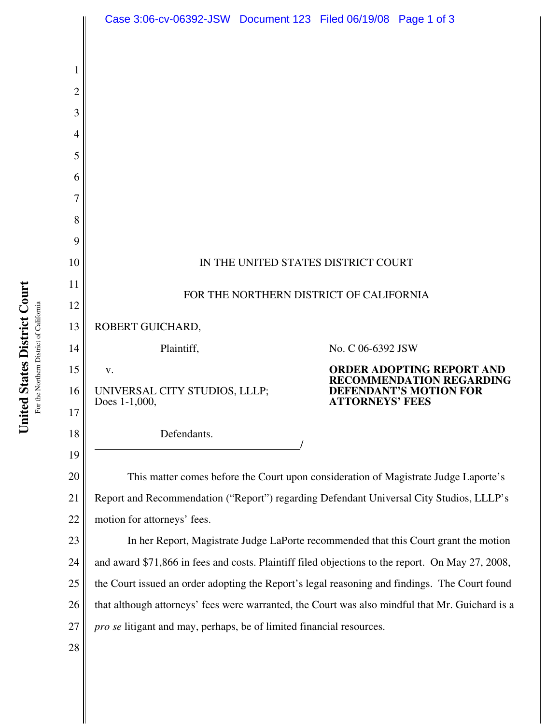|          | Case 3:06-cv-06392-JSW Document 123 Filed 06/19/08 Page 1 of 3                                                                                                          |  |                        |                                                                     |  |
|----------|-------------------------------------------------------------------------------------------------------------------------------------------------------------------------|--|------------------------|---------------------------------------------------------------------|--|
|          |                                                                                                                                                                         |  |                        |                                                                     |  |
|          |                                                                                                                                                                         |  |                        |                                                                     |  |
| 2        |                                                                                                                                                                         |  |                        |                                                                     |  |
| 3        |                                                                                                                                                                         |  |                        |                                                                     |  |
| 4        |                                                                                                                                                                         |  |                        |                                                                     |  |
| 5        |                                                                                                                                                                         |  |                        |                                                                     |  |
| 6        |                                                                                                                                                                         |  |                        |                                                                     |  |
| 7        |                                                                                                                                                                         |  |                        |                                                                     |  |
| 8        |                                                                                                                                                                         |  |                        |                                                                     |  |
| 9        |                                                                                                                                                                         |  |                        |                                                                     |  |
| 10       | IN THE UNITED STATES DISTRICT COURT                                                                                                                                     |  |                        |                                                                     |  |
| 11       | FOR THE NORTHERN DISTRICT OF CALIFORNIA                                                                                                                                 |  |                        |                                                                     |  |
| 12       |                                                                                                                                                                         |  |                        |                                                                     |  |
| 13       | ROBERT GUICHARD,                                                                                                                                                        |  |                        |                                                                     |  |
| 14       | Plaintiff,                                                                                                                                                              |  | No. C 06-6392 JSW      |                                                                     |  |
| 15       | V.                                                                                                                                                                      |  |                        | <b>ORDER ADOPTING REPORT AND</b><br><b>RECOMMENDATION REGARDING</b> |  |
| 16       | UNIVERSAL CITY STUDIOS, LLLP;<br>Does 1-1,000,                                                                                                                          |  | <b>ATTORNEYS' FEES</b> | <b>DEFENDANT'S MOTION FOR</b>                                       |  |
| 17       |                                                                                                                                                                         |  |                        |                                                                     |  |
| 18       | Defendants.                                                                                                                                                             |  |                        |                                                                     |  |
| 19       |                                                                                                                                                                         |  |                        |                                                                     |  |
| 20       | This matter comes before the Court upon consideration of Magistrate Judge Laporte's                                                                                     |  |                        |                                                                     |  |
| 21       | Report and Recommendation ("Report") regarding Defendant Universal City Studios, LLLP's                                                                                 |  |                        |                                                                     |  |
| 22       | motion for attorneys' fees.                                                                                                                                             |  |                        |                                                                     |  |
| 23       | In her Report, Magistrate Judge LaPorte recommended that this Court grant the motion                                                                                    |  |                        |                                                                     |  |
| 24       | and award \$71,866 in fees and costs. Plaintiff filed objections to the report. On May 27, 2008,                                                                        |  |                        |                                                                     |  |
| 25<br>26 | the Court issued an order adopting the Report's legal reasoning and findings. The Court found                                                                           |  |                        |                                                                     |  |
| 27       | that although attorneys' fees were warranted, the Court was also mindful that Mr. Guichard is a<br>pro se litigant and may, perhaps, be of limited financial resources. |  |                        |                                                                     |  |
| 28       |                                                                                                                                                                         |  |                        |                                                                     |  |
|          |                                                                                                                                                                         |  |                        |                                                                     |  |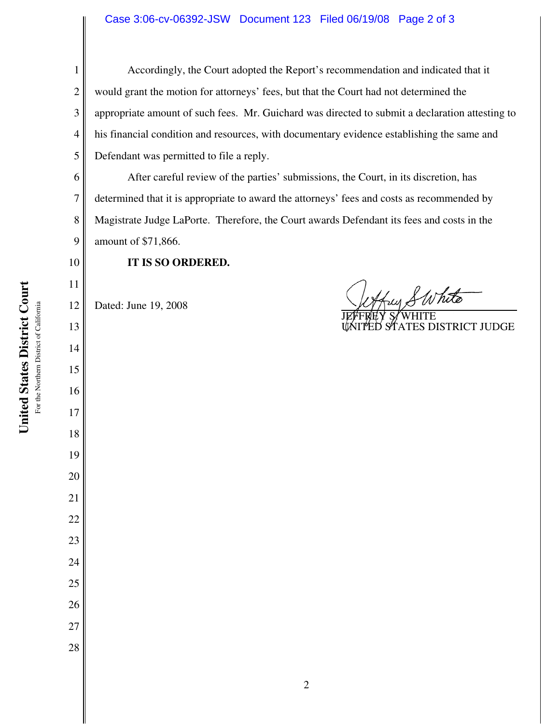Accordingly, the Court adopted the Report's recommendation and indicated that it would grant the motion for attorneys' fees, but that the Court had not determined the appropriate amount of such fees. Mr. Guichard was directed to submit a declaration attesting to his financial condition and resources, with documentary evidence establishing the same and Defendant was permitted to file a reply.

After careful review of the parties' submissions, the Court, in its discretion, has determined that it is appropriate to award the attorneys' fees and costs as recommended by Magistrate Judge LaPorte. Therefore, the Court awards Defendant its fees and costs in the amount of \$71,866.

**IT IS SO ORDERED.**

 Dated: June 19, 2008

thus SWhite

JEFFREY S⁄ WHITE UNITED STATES DISTRICT JUDGE

**United States District Court United States District Court** For the Northern District of California For the Northern District of California

- 
-